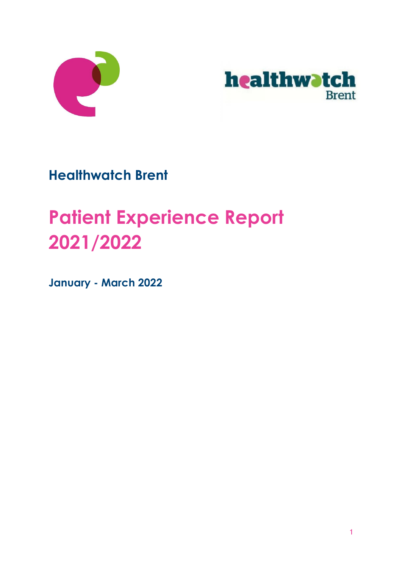



**Healthwatch Brent** 

# **Patient Experience Report 2021/2022**

**January - March 2022**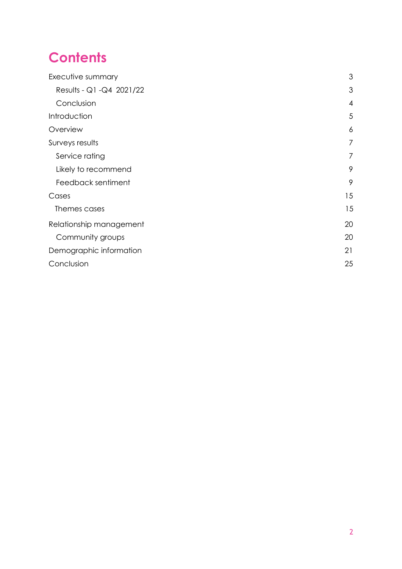## **Contents**

| Executive summary         |                |  |  |  |  |
|---------------------------|----------------|--|--|--|--|
| Results - Q1 - Q4 2021/22 | 3              |  |  |  |  |
| Conclusion                | $\overline{4}$ |  |  |  |  |
| Introduction              | 5              |  |  |  |  |
| Overview                  | 6              |  |  |  |  |
| Surveys results           | 7              |  |  |  |  |
| Service rating            | 7              |  |  |  |  |
| Likely to recommend       | 9              |  |  |  |  |
| Feedback sentiment        | 9              |  |  |  |  |
| Cases                     | 15             |  |  |  |  |
| Themes cases              | 15             |  |  |  |  |
| Relationship management   | 20             |  |  |  |  |
| Community groups          | 20             |  |  |  |  |
| Demographic information   | 21             |  |  |  |  |
| Conclusion                | 25             |  |  |  |  |
|                           |                |  |  |  |  |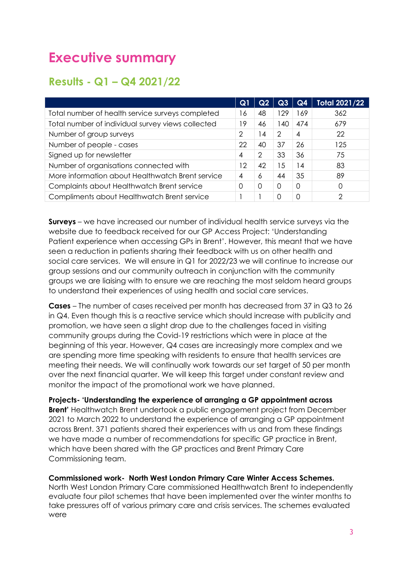## <span id="page-2-0"></span>**Executive summary**

#### <span id="page-2-1"></span>**Results - Q1 – Q4 2021/22**

|                                                   | Q1             | Q2             | Q3       | Q <sub>4</sub> | <b>Total 2021/22</b> |
|---------------------------------------------------|----------------|----------------|----------|----------------|----------------------|
| Total number of health service surveys completed  | 16             | 48             | 129      | 69             | 362                  |
| Total number of individual survey views collected | 19             | 46             | 140      | 474            | 679                  |
| Number of group surveys                           | 2              | $\overline{4}$ | 2        | 4              | 22                   |
| Number of people - cases                          | 22             | 40             | 37       | 26             | 125                  |
| Signed up for newsletter                          | 4              | 2              | 33       | 36             | 75                   |
| Number of organisations connected with            | 12             | 42             | 15       | 14             | 83                   |
| More information about Healthwatch Brent service  | $\overline{4}$ | 6              | 44       | 35             | 89                   |
| Complaints about Healthwatch Brent service        | Ω              | 0              | $\Omega$ | 0              | 0                    |
| Compliments about Healthwatch Brent service       |                |                | 0        | 0              | 2                    |

**Surveys** – we have increased our number of individual health service surveys via the website due to feedback received for our GP Access Project: 'Understanding Patient experience when accessing GPs in Brent'. However, this meant that we have seen a reduction in patients sharing their feedback with us on other health and social care services. We will ensure in Q1 for 2022/23 we will continue to increase our group sessions and our community outreach in conjunction with the community groups we are liaising with to ensure we are reaching the most seldom heard groups to understand their experiences of using health and social care services.

**Cases** – The number of cases received per month has decreased from 37 in Q3 to 26 in Q4. Even though this is a reactive service which should increase with publicity and promotion, we have seen a slight drop due to the challenges faced in visiting community groups during the Covid-19 restrictions which were in place at the beginning of this year. However, Q4 cases are increasingly more complex and we are spending more time speaking with residents to ensure that health services are meeting their needs. We will continually work towards our set target of 50 per month over the next financial quarter. We will keep this target under constant review and monitor the impact of the promotional work we have planned.

**Projects- 'Understanding the experience of arranging a GP appointment across Brent'** Healthwatch Brent undertook a public engagement project from December 2021 to March 2022 to understand the experience of arranging a GP appointment across Brent. 371 patients shared their experiences with us and from these findings we have made a number of recommendations for specific GP practice in Brent, which have been shared with the GP practices and Brent Primary Care Commissioning team.

**Commissioned work- North West London Primary Care Winter Access Schemes.** 

North West London Primary Care commissioned Healthwatch Brent to independently evaluate four pilot schemes that have been implemented over the winter months to take pressures off of various primary care and crisis services. The schemes evaluated were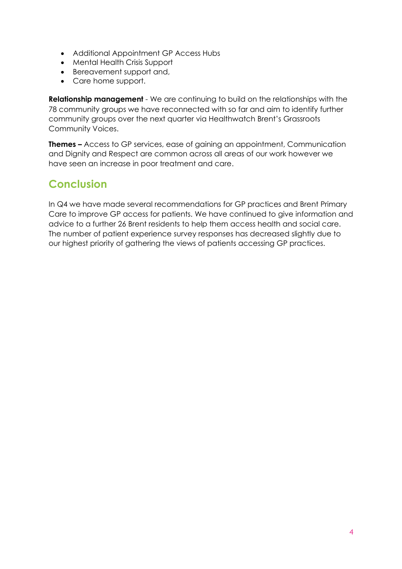- Additional Appointment GP Access Hubs
- Mental Health Crisis Support
- Bereavement support and,
- Care home support.

**Relationship management** - We are continuing to build on the relationships with the 78 community groups we have reconnected with so far and aim to identify further community groups over the next quarter via Healthwatch Brent's Grassroots Community Voices.

**Themes –** Access to GP services, ease of gaining an appointment, Communication and Dignity and Respect are common across all areas of our work however we have seen an increase in poor treatment and care.

### <span id="page-3-0"></span>**Conclusion**

In Q4 we have made several recommendations for GP practices and Brent Primary Care to improve GP access for patients. We have continued to give information and advice to a further 26 Brent residents to help them access health and social care. The number of patient experience survey responses has decreased slightly due to our highest priority of gathering the views of patients accessing GP practices.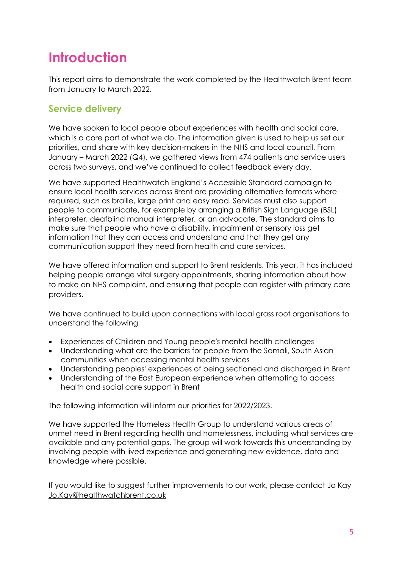## <span id="page-4-0"></span>**Introduction**

This report aims to demonstrate the work completed by the Healthwatch Brent team from January to March 2022.

#### **Service delivery**

We have spoken to local people about experiences with health and social care, which is a core part of what we do. The information given is used to help us set our priorities, and share with key decision-makers in the NHS and local council. From January – March 2022 (Q4), we gathered views from 474 patients and service users across two surveys, and we've continued to collect feedback every day.

We have supported Healthwatch England's Accessible Standard campaign to ensure local health services across Brent are providing alternative formats where required, such as braille, large print and easy read. Services must also support people to communicate, for example by arranging a British Sign Language (BSL) interpreter, deafblind manual interpreter, or an advocate. The standard aims to make sure that people who have a disability, impairment or sensory loss get information that they can access and understand and that they get any communication support they need from health and care services.

We have offered information and support to Brent residents. This year, it has included helping people arrange vital surgery appointments, sharing information about how to make an NHS complaint, and ensuring that people can register with primary care providers.

We have continued to build upon connections with local grass root organisations to understand the following

- Experiences of Children and Young people's mental health challenges
- Understanding what are the barriers for people from the Somali, South Asian communities when accessing mental health services
- Understanding peoples' experiences of being sectioned and discharged in Brent
- Understanding of the East European experience when attempting to access health and social care support in Brent

The following information will inform our priorities for 2022/2023.

We have supported the Homeless Health Group to understand various areas of unmet need in Brent regarding health and homelessness, including what services are available and any potential gaps. The group will work towards this understanding by involving people with lived experience and generating new evidence, data and knowledge where possible.

If you would like to suggest further improvements to our work, please contact Jo Kay [Jo.Kay@healthwatchbrent.co.uk](mailto:Jo.Kay@healthwatchbrent.co.uk)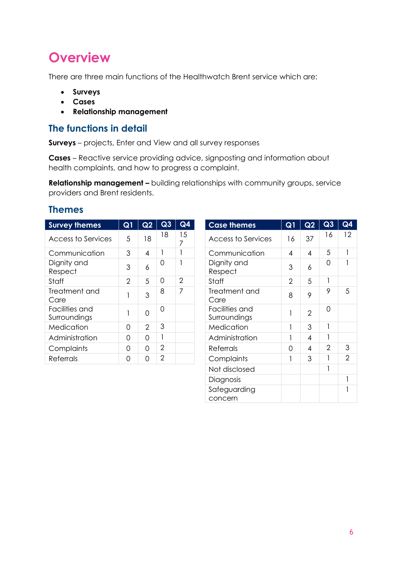## <span id="page-5-0"></span>**Overview**

There are three main functions of the Healthwatch Brent service which are:

- **Surveys**
- **Cases**
- **Relationship management**

#### **The functions in detail**

**Surveys** – projects, Enter and View and all survey responses

**Cases** – Reactive service providing advice, signposting and information about health complaints, and how to progress a complaint.

**Relationship management –** building relationships with community groups, service providers and Brent residents.

#### **Themes**

| <b>Survey themes</b>           | Q1             | Q2                       | Q3             | Q4             | <b>Case themes</b>             | Q1             | Q2                       | Q3       | Q4 |
|--------------------------------|----------------|--------------------------|----------------|----------------|--------------------------------|----------------|--------------------------|----------|----|
| Access to Services             | 5              | 18                       | 18             | 15             | Access to Services             | 16             | 37                       | 16       | 12 |
| Communication                  | 3              | $\overline{\mathcal{A}}$ |                |                | Communication                  | 4              | $\overline{4}$           | 5        |    |
| Dignity and<br>Respect         | 3              | 6                        | $\overline{0}$ |                | Dignity and<br>Respect         | 3              | 6                        | 0        |    |
| Staff                          | $\overline{2}$ | 5                        | $\overline{0}$ | $\overline{2}$ | Staff                          | $\overline{2}$ | 5                        |          |    |
| Treatment and<br>Care          |                | 3                        | 8              | 7              | Treatment and<br>Care          | 8              | 9                        | 9        | 5  |
| Facilities and<br>Surroundings |                | $\Omega$                 | $\overline{0}$ |                | Facilities and<br>Surroundings |                | $\overline{2}$           | $\Omega$ |    |
| Medication                     | 0              | $\overline{2}$           | 3              |                | Medication                     |                | 3                        |          |    |
| Administration                 | $\overline{0}$ | $\Omega$                 |                |                | Administration                 |                | $\overline{\mathcal{A}}$ |          |    |
| Complaints                     | $\Omega$       | $\Omega$                 | $\overline{2}$ |                | <b>Referrals</b>               | $\Omega$       | $\overline{A}$           | 2        | 3  |
| Referrals                      | 0              | $\overline{O}$           | $\overline{2}$ |                | Complaints                     |                | 3                        |          | 2  |
|                                |                |                          |                |                |                                |                |                          |          |    |

| Q3             | Q <sub>4</sub> | <b>Case themes</b>             | Q1             | Q2             | Q3             | Q <sub>4</sub> |
|----------------|----------------|--------------------------------|----------------|----------------|----------------|----------------|
| 18             | 15<br>7        | Access to Services             | 16             | 37             | 16             | 12             |
| $\mathbf{1}$   | 1              | Communication                  | 4              | 4              | 5              | 1              |
| 0              | 1              | Dignity and<br>Respect         | 3              | 6              | 0              |                |
| 0              | $\overline{2}$ | Staff                          | $\overline{2}$ | 5              |                |                |
| 8              | 7              | Treatment and<br>Care          | 8              | 9              | 9              | 5              |
| 0              |                | Facilities and<br>Surroundings | 1              | $\overline{2}$ | 0              |                |
| 3              |                | Medication                     |                | 3              |                |                |
| $\mathbf{I}$   |                | Administration                 |                | 4              |                |                |
| $\overline{2}$ |                | <b>Referrals</b>               | 0              | 4              | $\overline{2}$ | 3              |
| $\overline{2}$ |                | Complaints                     | 1              | 3              |                | $\overline{2}$ |
|                |                | Not disclosed                  |                |                |                |                |
|                |                | Diagnosis                      |                |                |                | 1              |
|                |                | Safeguarding<br>concern        |                |                |                |                |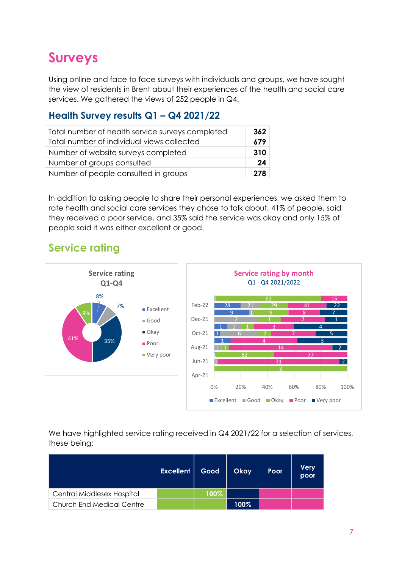## <span id="page-6-0"></span>**Surveys**

Using online and face to face surveys with individuals and groups, we have sought the view of residents in Brent about their experiences of the health and social care services. We gathered the views of 252 people in Q4.

#### **Health Survey results Q1 – Q4 2021/22**

| Total number of health service surveys completed | 362 |
|--------------------------------------------------|-----|
| Total number of individual views collected       | 679 |
| Number of website surveys completed              | 310 |
| Number of groups consulted                       | 24  |
| Number of people consulted in groups             | 278 |

In addition to asking people to share their personal experiences, we asked them to rate health and social care services they chose to talk about, 41% of people, said they received a poor service, and 35% said the service was okay and only 15% of people said it was either excellent or good.

### <span id="page-6-1"></span>**Service rating**



We have highlighted service rating received in Q4 2021/22 for a selection of services, these being:

|                                  | <b>Excellent</b> | Good | <b>Okay</b> | Poor | <b>Very</b><br>poor |
|----------------------------------|------------------|------|-------------|------|---------------------|
| Central Middlesex Hospital       |                  | 100% |             |      |                     |
| <b>Church End Medical Centre</b> |                  |      | 100%        |      |                     |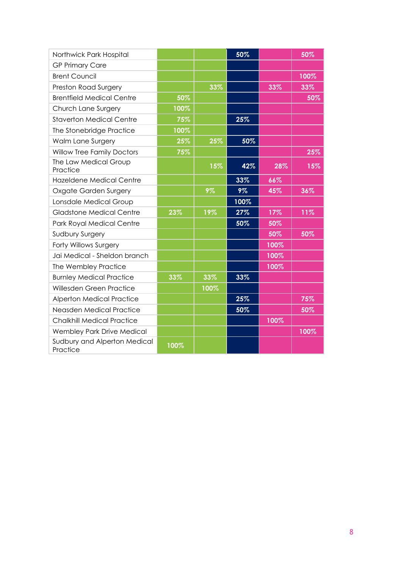| Northwick Park Hospital                  |      |      | 50%  |      | 50%  |
|------------------------------------------|------|------|------|------|------|
| <b>GP Primary Care</b>                   |      |      |      |      |      |
| <b>Brent Council</b>                     |      |      |      |      | 100% |
| Preston Road Surgery                     |      | 33%  |      | 33%  | 33%  |
| <b>Brentfield Medical Centre</b>         | 50%  |      |      |      | 50%  |
| Church Lane Surgery                      | 100% |      |      |      |      |
| <b>Staverton Medical Centre</b>          | 75%  |      | 25%  |      |      |
| The Stonebridge Practice                 | 100% |      |      |      |      |
| Walm Lane Surgery                        | 25%  | 25%  | 50%  |      |      |
| <b>Willow Tree Family Doctors</b>        | 75%  |      |      |      | 25%  |
| The Law Medical Group<br>Practice        |      | 15%  | 42%  | 28%  | 15%  |
| Hazeldene Medical Centre                 |      |      | 33%  | 66%  |      |
| Oxgate Garden Surgery                    |      | 9%   | 9%   | 45%  | 36%  |
| Lonsdale Medical Group                   |      |      | 100% |      |      |
| <b>Gladstone Medical Centre</b>          | 23%  | 19%  | 27%  | 17%  | 11%  |
| Park Royal Medical Centre                |      |      | 50%  | 50%  |      |
| Sudbury Surgery                          |      |      |      | 50%  | 50%  |
| Forty Willows Surgery                    |      |      |      | 100% |      |
| Jai Medical - Sheldon branch             |      |      |      | 100% |      |
| The Wembley Practice                     |      |      |      | 100% |      |
| <b>Burnley Medical Practice</b>          | 33%  | 33%  | 33%  |      |      |
| Willesden Green Practice                 |      | 100% |      |      |      |
| <b>Alperton Medical Practice</b>         |      |      | 25%  |      | 75%  |
| Neasden Medical Practice                 |      |      | 50%  |      | 50%  |
| <b>Chalkhill Medical Practice</b>        |      |      |      | 100% |      |
| Wembley Park Drive Medical               |      |      |      |      | 100% |
| Sudbury and Alperton Medical<br>Practice | 100% |      |      |      |      |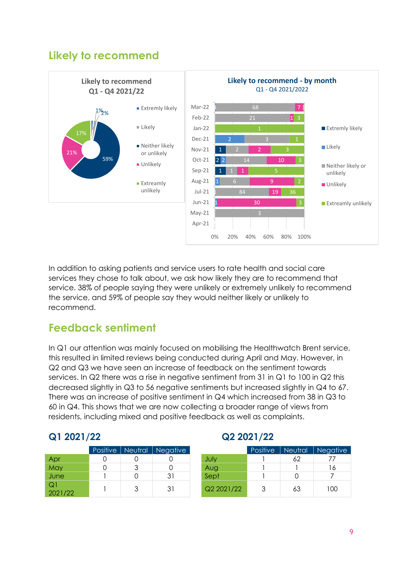#### **Likely to recommend**



In addition to asking patients and service users to rate health and social care services they chose to talk about, we ask how likely they are to recommend that service. 38% of people saying they were unlikely or extremely unlikely to recommend the service, and 59% of people say they would neither likely or unlikely to recommend.

#### <span id="page-8-0"></span>**Feedback sentiment**

In Q1 our attention was mainly focused on mobilising the Healthwatch Brent service, this resulted in limited reviews being conducted during April and May. However, in Q2 and Q3 we have seen an increase of feedback on the sentiment towards services. In Q2 there was a rise in negative sentiment from 31 in Q1 to 100 in Q2 this decreased slightly in Q3 to 56 negative sentiments but increased slightly in Q4 to 67. There was an increase of positive sentiment in Q4 which increased from 38 in Q3 to 60 in Q4. This shows that we are now collecting a broader range of views from residents, including mixed and positive feedback as well as complaints.

#### **Q1 2021/22 Q2 2021/22**

#### Positive | Neutral | Negative Apr 0 0 0 July 1 62 77 May 0 3 0 Aug 1 1 16 June 1 0 31 Sept 1 0 7 Q1

|               | Positive   Neutral | Negative |            | Positive | Neutral | <b>Negative</b> |
|---------------|--------------------|----------|------------|----------|---------|-----------------|
| Apr           |                    |          | July       |          | 62      |                 |
| May           | っ                  |          | Aug        |          |         | 16              |
| June          |                    | 31       | Sept       |          |         |                 |
| Q1<br>2021/22 |                    | 31       | Q2 2021/22 |          | 63      | 100             |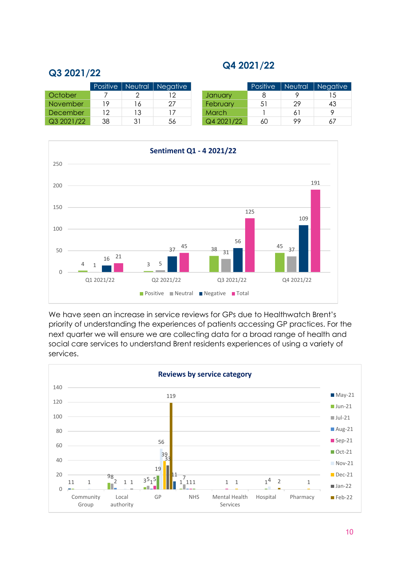#### **Q4 2021/22**

#### **Q3 2021/22**

|                 | Positive | Neutral | Negative |              | Positive | Neutral | <b>Negative</b> |
|-----------------|----------|---------|----------|--------------|----------|---------|-----------------|
| October         |          |         |          | January      |          |         | 15              |
| <b>November</b> | 19       | 16      | 27       | February     | -51      | 29      | 43              |
| December        | 12       | 13      |          | <b>March</b> |          |         |                 |
| Q3 2021/22      | 38       | 31      | 56       | Q4 2021/22   | 60       | 99      | 67              |



We have seen an increase in service reviews for GPs due to Healthwatch Brent's priority of understanding the experiences of patients accessing GP practices. For the next quarter we will ensure we are collecting data for a broad range of health and social care services to understand Brent residents experiences of using a variety of services.

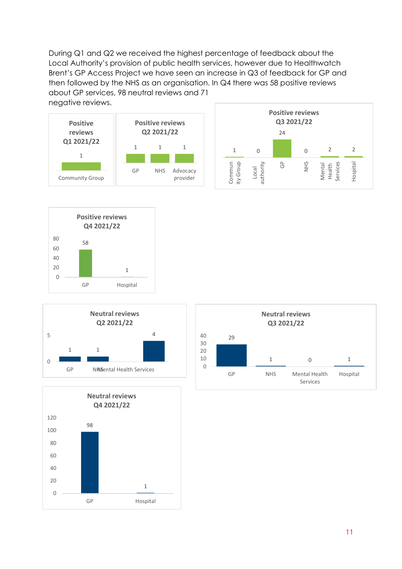During Q1 and Q2 we received the highest percentage of feedback about the Local Authority's provision of public health services, however due to Healthwatch Brent's GP Access Project we have seen an increase in Q3 of feedback for GP and then followed by the NHS as an organisation. In Q4 there was 58 positive reviews about GP services, 98 neutral reviews and 71 negative reviews.











| <b>Neutral reviews</b><br>Q3 2021/22 |    |            |                           |          |  |  |  |  |
|--------------------------------------|----|------------|---------------------------|----------|--|--|--|--|
| 40<br>30<br>20                       | 29 |            |                           |          |  |  |  |  |
| 10<br>$\Omega$                       |    | 1          | $\Omega$                  | 1        |  |  |  |  |
|                                      | GP | <b>NHS</b> | Mental Health<br>Services | Hospital |  |  |  |  |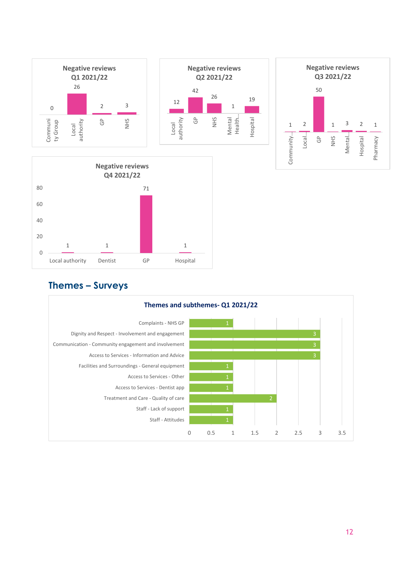

#### **Themes – Surveys**

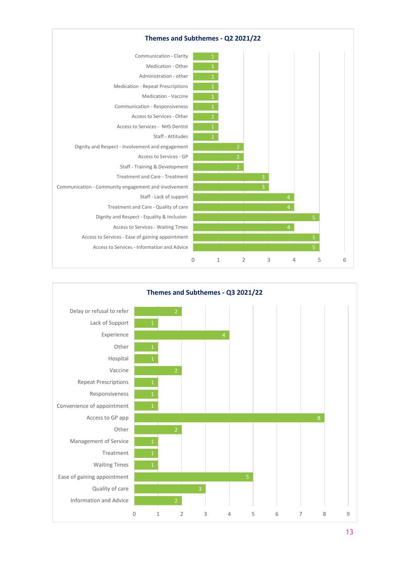

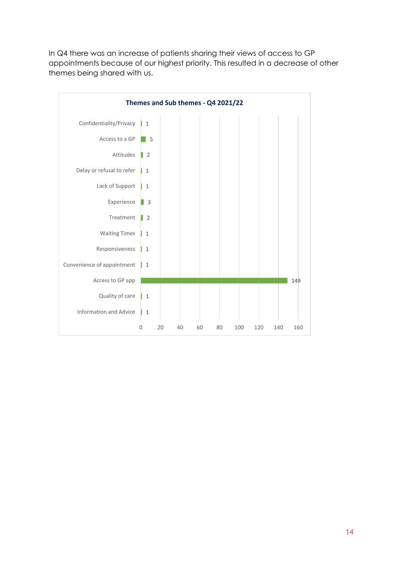In Q4 there was an increase of patients sharing their views of access to GP appointments because of our highest priority. This resulted in a decrease of other themes being shared with us.

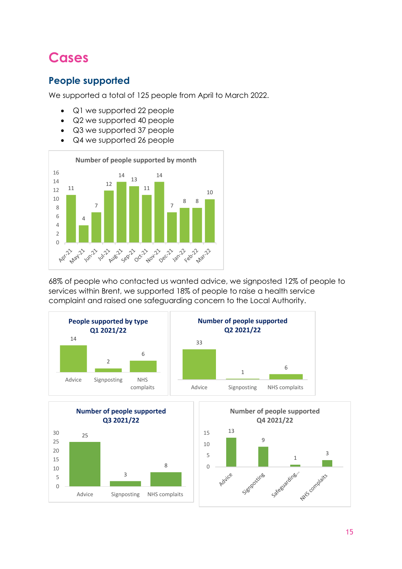## <span id="page-14-0"></span>**Cases**

#### **People supported**

We supported a total of 125 people from April to March 2022.

- Q1 we supported 22 people
- Q2 we supported 40 people
- Q3 we supported 37 people
- Q4 we supported 26 people



68% of people who contacted us wanted advice, we signposted 12% of people to services within Brent, we supported 18% of people to raise a health service complaint and raised one safeguarding concern to the Local Authority.

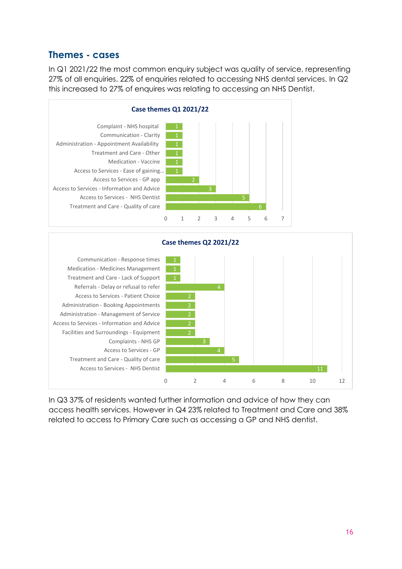#### **Themes - cases**

In Q1 2021/22 the most common enquiry subject was quality of service, representing 27% of all enquiries. 22% of enquiries related to accessing NHS dental services. In Q2 this increased to 27% of enquires was relating to accessing an NHS Dentist.





In Q3 37% of residents wanted further information and advice of how they can access health services. However in Q4 23% related to Treatment and Care and 38% related to access to Primary Care such as accessing a GP and NHS dentist.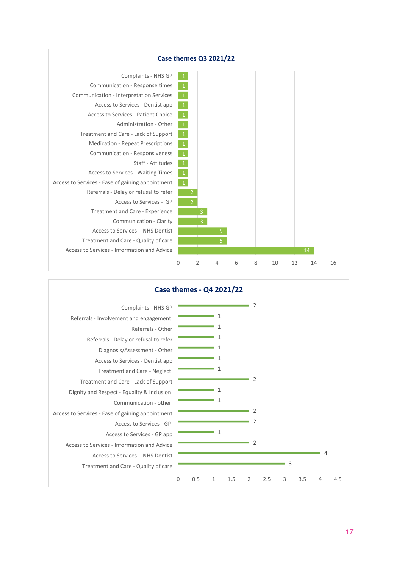

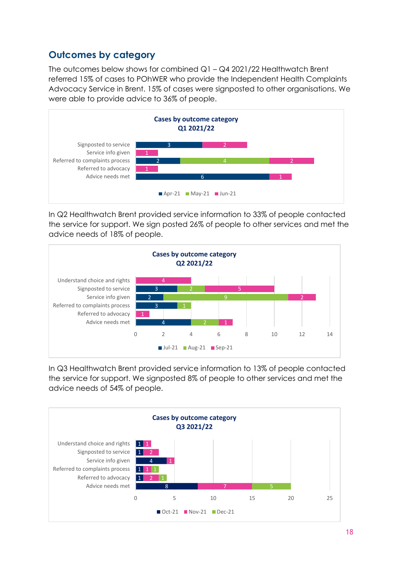#### **Outcomes by category**

The outcomes below shows for combined Q1 – Q4 2021/22 Healthwatch Brent referred 15% of cases to POhWER who provide the Independent Health Complaints Advocacy Service in Brent. 15% of cases were signposted to other organisations. We were able to provide advice to 36% of people.



In Q2 Healthwatch Brent provided service information to 33% of people contacted the service for support. We sign posted 26% of people to other services and met the advice needs of 18% of people.



In Q3 Healthwatch Brent provided service information to 13% of people contacted the service for support. We signposted 8% of people to other services and met the advice needs of 54% of people.

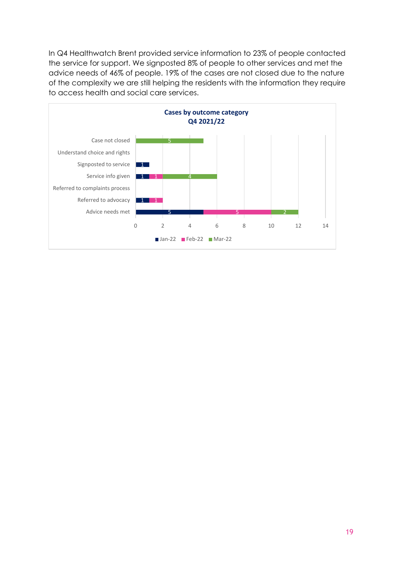In Q4 Healthwatch Brent provided service information to 23% of people contacted the service for support. We signposted 8% of people to other services and met the advice needs of 46% of people. 19% of the cases are not closed due to the nature of the complexity we are still helping the residents with the information they require to access health and social care services.

<span id="page-18-0"></span>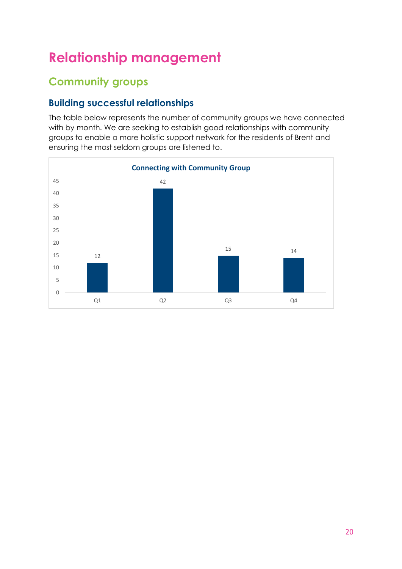## **Relationship management**

### <span id="page-19-0"></span>**Community groups**

#### **Building successful relationships**

The table below represents the number of community groups we have connected with by month. We are seeking to establish good relationships with community groups to enable a more holistic support network for the residents of Brent and ensuring the most seldom groups are listened to.

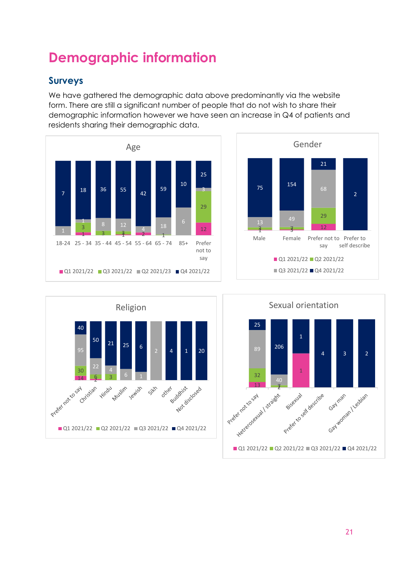## <span id="page-20-0"></span>**Demographic information**

#### **Surveys**

We have gathered the demographic data above predominantly via the website form. There are still a significant number of people that do not wish to share their demographic information however we have seen an increase in Q4 of patients and residents sharing their demographic data.







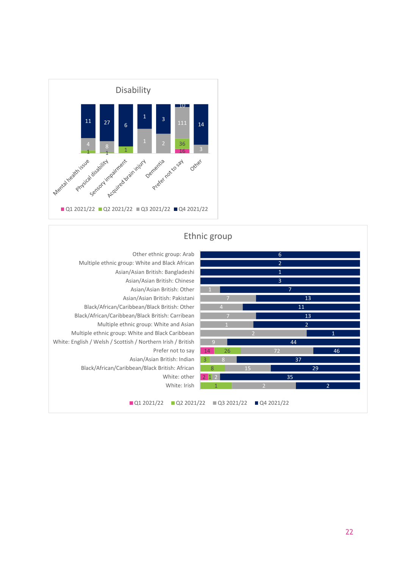



#### Ethnic group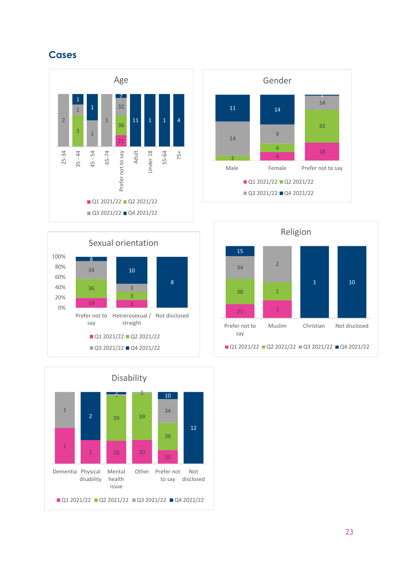#### **Cases**









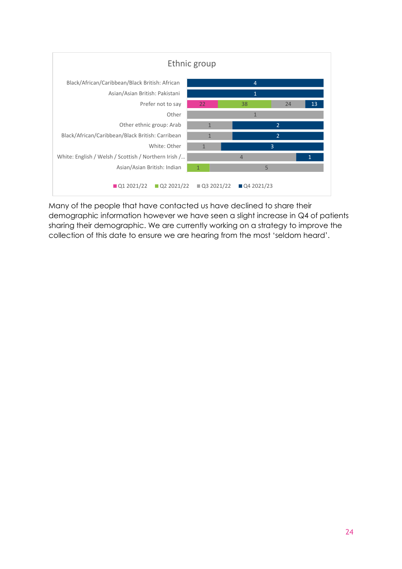

Many of the people that have contacted us have declined to share their demographic information however we have seen a slight increase in Q4 of patients sharing their demographic. We are currently working on a strategy to improve the collection of this date to ensure we are hearing from the most 'seldom heard'.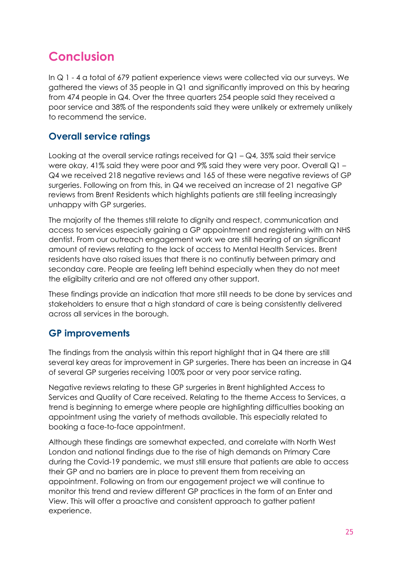## <span id="page-24-0"></span>**Conclusion**

In Q 1 - 4 a total of 679 patient experience views were collected via our surveys. We gathered the views of 35 people in Q1 and significantly improved on this by hearing from 474 people in Q4. Over the three quarters 254 people said they received a poor service and 38% of the respondents said they were unlikely or extremely unlikely to recommend the service.

#### **Overall service ratings**

Looking at the overall service ratings received for  $Q1 - Q4$ , 35% said their service were okay, 41% said they were poor and 9% said they were very poor. Overall Q1 – Q4 we received 218 negative reviews and 165 of these were negative reviews of GP surgeries. Following on from this, in Q4 we received an increase of 21 negative GP reviews from Brent Residents which highlights patients are still feeling increasingly unhappy with GP surgeries.

The majority of the themes still relate to dignity and respect, communication and access to services especially gaining a GP appointment and registering with an NHS dentist. From our outreach engagement work we are still hearing of an significant amount of reviews relating to the lack of access to Mental Health Services. Brent residents have also raised issues that there is no continutiy between primary and seconday care. People are feeling left behind especially when they do not meet the eligibilty criteria and are not offered any other support.

These findings provide an indication that more still needs to be done by services and stakeholders to ensure that a high standard of care is being consistently delivered across all services in the borough.

#### **GP improvements**

The findings from the analysis within this report highlight that in Q4 there are still several key areas for improvement in GP surgeries. There has been an increase in Q4 of several GP surgeries receiving 100% poor or very poor service rating.

Negative reviews relating to these GP surgeries in Brent highlighted Access to Services and Quality of Care received. Relating to the theme Access to Services, a trend is beginning to emerge where people are highlighting difficulties booking an appointment using the variety of methods available. This especially related to booking a face-to-face appointment.

Although these findings are somewhat expected, and correlate with North West London and national findings due to the rise of high demands on Primary Care during the Covid-19 pandemic, we must still ensure that patients are able to access their GP and no barriers are in place to prevent them from receiving an appointment. Following on from our engagement project we will continue to monitor this trend and review different GP practices in the form of an Enter and View. This will offer a proactive and consistent approach to gather patient experience.